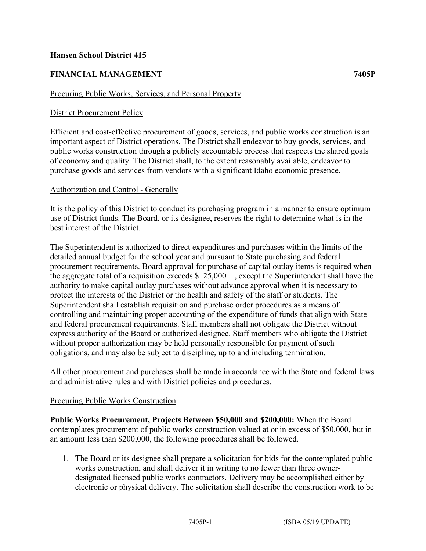## **Hansen School District 415**

# **FINANCIAL MANAGEMENT 7405P**

#### Procuring Public Works, Services, and Personal Property

## District Procurement Policy

Efficient and cost-effective procurement of goods, services, and public works construction is an important aspect of District operations. The District shall endeavor to buy goods, services, and public works construction through a publicly accountable process that respects the shared goals of economy and quality. The District shall, to the extent reasonably available, endeavor to purchase goods and services from vendors with a significant Idaho economic presence.

### Authorization and Control - Generally

It is the policy of this District to conduct its purchasing program in a manner to ensure optimum use of District funds. The Board, or its designee, reserves the right to determine what is in the best interest of the District.

The Superintendent is authorized to direct expenditures and purchases within the limits of the detailed annual budget for the school year and pursuant to State purchasing and federal procurement requirements. Board approval for purchase of capital outlay items is required when the aggregate total of a requisition exceeds  $$25,000$ , except the Superintendent shall have the authority to make capital outlay purchases without advance approval when it is necessary to protect the interests of the District or the health and safety of the staff or students. The Superintendent shall establish requisition and purchase order procedures as a means of controlling and maintaining proper accounting of the expenditure of funds that align with State and federal procurement requirements. Staff members shall not obligate the District without express authority of the Board or authorized designee. Staff members who obligate the District without proper authorization may be held personally responsible for payment of such obligations, and may also be subject to discipline, up to and including termination.

All other procurement and purchases shall be made in accordance with the State and federal laws and administrative rules and with District policies and procedures.

#### Procuring Public Works Construction

**Public Works Procurement, Projects Between \$50,000 and \$200,000:** When the Board contemplates procurement of public works construction valued at or in excess of \$50,000, but in an amount less than \$200,000, the following procedures shall be followed.

1. The Board or its designee shall prepare a solicitation for bids for the contemplated public works construction, and shall deliver it in writing to no fewer than three ownerdesignated licensed public works contractors. Delivery may be accomplished either by electronic or physical delivery. The solicitation shall describe the construction work to be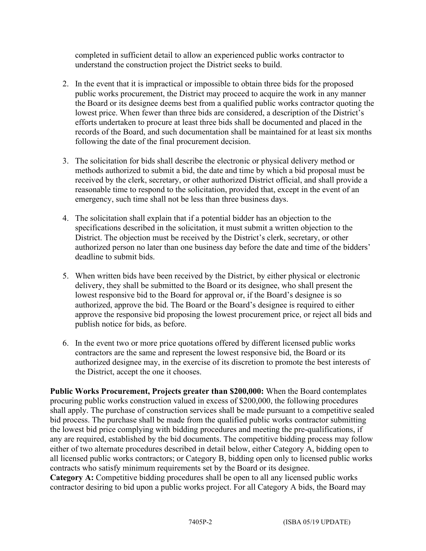completed in sufficient detail to allow an experienced public works contractor to understand the construction project the District seeks to build.

- 2. In the event that it is impractical or impossible to obtain three bids for the proposed public works procurement, the District may proceed to acquire the work in any manner the Board or its designee deems best from a qualified public works contractor quoting the lowest price. When fewer than three bids are considered, a description of the District's efforts undertaken to procure at least three bids shall be documented and placed in the records of the Board, and such documentation shall be maintained for at least six months following the date of the final procurement decision.
- 3. The solicitation for bids shall describe the electronic or physical delivery method or methods authorized to submit a bid, the date and time by which a bid proposal must be received by the clerk, secretary, or other authorized District official, and shall provide a reasonable time to respond to the solicitation, provided that, except in the event of an emergency, such time shall not be less than three business days.
- 4. The solicitation shall explain that if a potential bidder has an objection to the specifications described in the solicitation, it must submit a written objection to the District. The objection must be received by the District's clerk, secretary, or other authorized person no later than one business day before the date and time of the bidders' deadline to submit bids.
- 5. When written bids have been received by the District, by either physical or electronic delivery, they shall be submitted to the Board or its designee, who shall present the lowest responsive bid to the Board for approval or, if the Board's designee is so authorized, approve the bid. The Board or the Board's designee is required to either approve the responsive bid proposing the lowest procurement price, or reject all bids and publish notice for bids, as before.
- 6. In the event two or more price quotations offered by different licensed public works contractors are the same and represent the lowest responsive bid, the Board or its authorized designee may, in the exercise of its discretion to promote the best interests of the District, accept the one it chooses.

**Public Works Procurement, Projects greater than \$200,000:** When the Board contemplates procuring public works construction valued in excess of \$200,000, the following procedures shall apply. The purchase of construction services shall be made pursuant to a competitive sealed bid process. The purchase shall be made from the qualified public works contractor submitting the lowest bid price complying with bidding procedures and meeting the pre-qualifications, if any are required, established by the bid documents. The competitive bidding process may follow either of two alternate procedures described in detail below, either Category A, bidding open to all licensed public works contractors; or Category B, bidding open only to licensed public works contracts who satisfy minimum requirements set by the Board or its designee. **Category A:** Competitive bidding procedures shall be open to all any licensed public works contractor desiring to bid upon a public works project. For all Category A bids, the Board may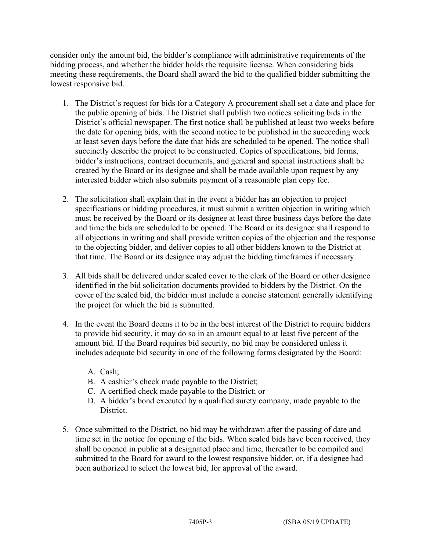consider only the amount bid, the bidder's compliance with administrative requirements of the bidding process, and whether the bidder holds the requisite license. When considering bids meeting these requirements, the Board shall award the bid to the qualified bidder submitting the lowest responsive bid.

- 1. The District's request for bids for a Category A procurement shall set a date and place for the public opening of bids. The District shall publish two notices soliciting bids in the District's official newspaper. The first notice shall be published at least two weeks before the date for opening bids, with the second notice to be published in the succeeding week at least seven days before the date that bids are scheduled to be opened. The notice shall succinctly describe the project to be constructed. Copies of specifications, bid forms, bidder's instructions, contract documents, and general and special instructions shall be created by the Board or its designee and shall be made available upon request by any interested bidder which also submits payment of a reasonable plan copy fee.
- 2. The solicitation shall explain that in the event a bidder has an objection to project specifications or bidding procedures, it must submit a written objection in writing which must be received by the Board or its designee at least three business days before the date and time the bids are scheduled to be opened. The Board or its designee shall respond to all objections in writing and shall provide written copies of the objection and the response to the objecting bidder, and deliver copies to all other bidders known to the District at that time. The Board or its designee may adjust the bidding timeframes if necessary.
- 3. All bids shall be delivered under sealed cover to the clerk of the Board or other designee identified in the bid solicitation documents provided to bidders by the District. On the cover of the sealed bid, the bidder must include a concise statement generally identifying the project for which the bid is submitted.
- 4. In the event the Board deems it to be in the best interest of the District to require bidders to provide bid security, it may do so in an amount equal to at least five percent of the amount bid. If the Board requires bid security, no bid may be considered unless it includes adequate bid security in one of the following forms designated by the Board:
	- A. Cash;
	- B. A cashier's check made payable to the District;
	- C. A certified check made payable to the District; or
	- D. A bidder's bond executed by a qualified surety company, made payable to the District.
- 5. Once submitted to the District, no bid may be withdrawn after the passing of date and time set in the notice for opening of the bids. When sealed bids have been received, they shall be opened in public at a designated place and time, thereafter to be compiled and submitted to the Board for award to the lowest responsive bidder, or, if a designee had been authorized to select the lowest bid, for approval of the award.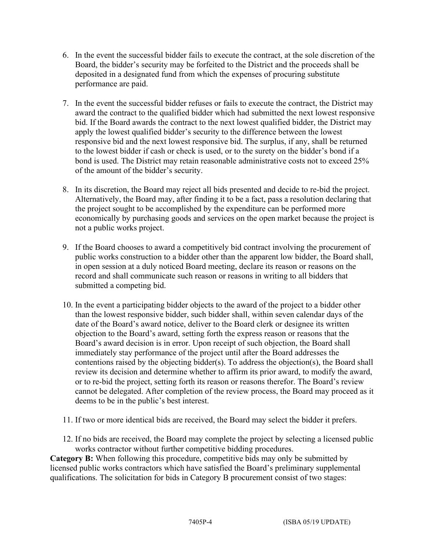- 6. In the event the successful bidder fails to execute the contract, at the sole discretion of the Board, the bidder's security may be forfeited to the District and the proceeds shall be deposited in a designated fund from which the expenses of procuring substitute performance are paid.
- 7. In the event the successful bidder refuses or fails to execute the contract, the District may award the contract to the qualified bidder which had submitted the next lowest responsive bid. If the Board awards the contract to the next lowest qualified bidder, the District may apply the lowest qualified bidder's security to the difference between the lowest responsive bid and the next lowest responsive bid. The surplus, if any, shall be returned to the lowest bidder if cash or check is used, or to the surety on the bidder's bond if a bond is used. The District may retain reasonable administrative costs not to exceed 25% of the amount of the bidder's security.
- 8. In its discretion, the Board may reject all bids presented and decide to re-bid the project. Alternatively, the Board may, after finding it to be a fact, pass a resolution declaring that the project sought to be accomplished by the expenditure can be performed more economically by purchasing goods and services on the open market because the project is not a public works project.
- 9. If the Board chooses to award a competitively bid contract involving the procurement of public works construction to a bidder other than the apparent low bidder, the Board shall, in open session at a duly noticed Board meeting, declare its reason or reasons on the record and shall communicate such reason or reasons in writing to all bidders that submitted a competing bid.
- 10. In the event a participating bidder objects to the award of the project to a bidder other than the lowest responsive bidder, such bidder shall, within seven calendar days of the date of the Board's award notice, deliver to the Board clerk or designee its written objection to the Board's award, setting forth the express reason or reasons that the Board's award decision is in error. Upon receipt of such objection, the Board shall immediately stay performance of the project until after the Board addresses the contentions raised by the objecting bidder(s). To address the objection(s), the Board shall review its decision and determine whether to affirm its prior award, to modify the award, or to re-bid the project, setting forth its reason or reasons therefor. The Board's review cannot be delegated. After completion of the review process, the Board may proceed as it deems to be in the public's best interest.
- 11. If two or more identical bids are received, the Board may select the bidder it prefers.
- 12. If no bids are received, the Board may complete the project by selecting a licensed public works contractor without further competitive bidding procedures.

**Category B:** When following this procedure, competitive bids may only be submitted by licensed public works contractors which have satisfied the Board's preliminary supplemental qualifications. The solicitation for bids in Category B procurement consist of two stages: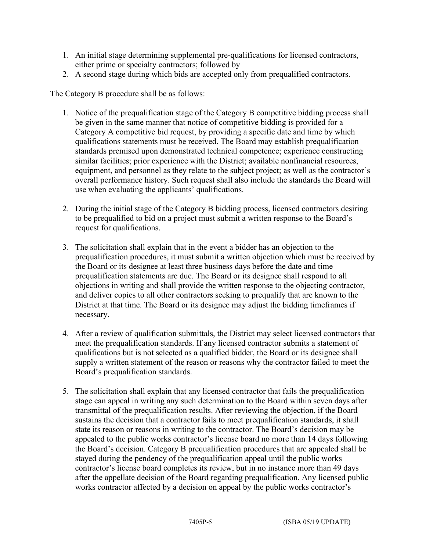- 1. An initial stage determining supplemental pre-qualifications for licensed contractors, either prime or specialty contractors; followed by
- 2. A second stage during which bids are accepted only from prequalified contractors.

The Category B procedure shall be as follows:

- 1. Notice of the prequalification stage of the Category B competitive bidding process shall be given in the same manner that notice of competitive bidding is provided for a Category A competitive bid request, by providing a specific date and time by which qualifications statements must be received. The Board may establish prequalification standards premised upon demonstrated technical competence; experience constructing similar facilities; prior experience with the District; available nonfinancial resources, equipment, and personnel as they relate to the subject project; as well as the contractor's overall performance history. Such request shall also include the standards the Board will use when evaluating the applicants' qualifications.
- 2. During the initial stage of the Category B bidding process, licensed contractors desiring to be prequalified to bid on a project must submit a written response to the Board's request for qualifications.
- 3. The solicitation shall explain that in the event a bidder has an objection to the prequalification procedures, it must submit a written objection which must be received by the Board or its designee at least three business days before the date and time prequalification statements are due. The Board or its designee shall respond to all objections in writing and shall provide the written response to the objecting contractor, and deliver copies to all other contractors seeking to prequalify that are known to the District at that time. The Board or its designee may adjust the bidding timeframes if necessary.
- 4. After a review of qualification submittals, the District may select licensed contractors that meet the prequalification standards. If any licensed contractor submits a statement of qualifications but is not selected as a qualified bidder, the Board or its designee shall supply a written statement of the reason or reasons why the contractor failed to meet the Board's prequalification standards.
- 5. The solicitation shall explain that any licensed contractor that fails the prequalification stage can appeal in writing any such determination to the Board within seven days after transmittal of the prequalification results. After reviewing the objection, if the Board sustains the decision that a contractor fails to meet prequalification standards, it shall state its reason or reasons in writing to the contractor. The Board's decision may be appealed to the public works contractor's license board no more than 14 days following the Board's decision. Category B prequalification procedures that are appealed shall be stayed during the pendency of the prequalification appeal until the public works contractor's license board completes its review, but in no instance more than 49 days after the appellate decision of the Board regarding prequalification. Any licensed public works contractor affected by a decision on appeal by the public works contractor's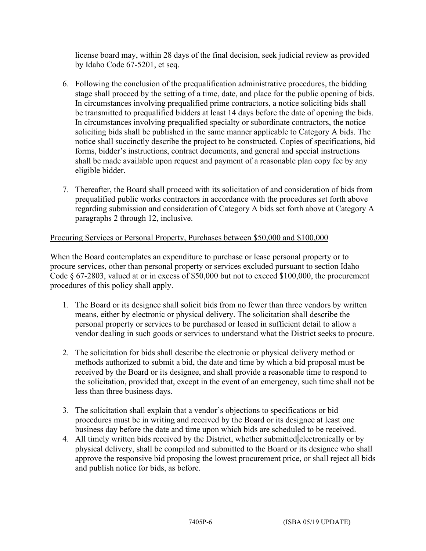license board may, within 28 days of the final decision, seek judicial review as provided by Idaho Code 67-5201, et seq.

- 6. Following the conclusion of the prequalification administrative procedures, the bidding stage shall proceed by the setting of a time, date, and place for the public opening of bids. In circumstances involving prequalified prime contractors, a notice soliciting bids shall be transmitted to prequalified bidders at least 14 days before the date of opening the bids. In circumstances involving prequalified specialty or subordinate contractors, the notice soliciting bids shall be published in the same manner applicable to Category A bids. The notice shall succinctly describe the project to be constructed. Copies of specifications, bid forms, bidder's instructions, contract documents, and general and special instructions shall be made available upon request and payment of a reasonable plan copy fee by any eligible bidder.
- 7. Thereafter, the Board shall proceed with its solicitation of and consideration of bids from prequalified public works contractors in accordance with the procedures set forth above regarding submission and consideration of Category A bids set forth above at Category A paragraphs 2 through 12, inclusive.

# Procuring Services or Personal Property, Purchases between \$50,000 and \$100,000

When the Board contemplates an expenditure to purchase or lease personal property or to procure services, other than personal property or services excluded pursuant to section Idaho Code § 67-2803, valued at or in excess of \$50,000 but not to exceed \$100,000, the procurement procedures of this policy shall apply.

- 1. The Board or its designee shall solicit bids from no fewer than three vendors by written means, either by electronic or physical delivery. The solicitation shall describe the personal property or services to be purchased or leased in sufficient detail to allow a vendor dealing in such goods or services to understand what the District seeks to procure.
- 2. The solicitation for bids shall describe the electronic or physical delivery method or methods authorized to submit a bid, the date and time by which a bid proposal must be received by the Board or its designee, and shall provide a reasonable time to respond to the solicitation, provided that, except in the event of an emergency, such time shall not be less than three business days.
- 3. The solicitation shall explain that a vendor's objections to specifications or bid procedures must be in writing and received by the Board or its designee at least one business day before the date and time upon which bids are scheduled to be received.
- 4. All timely written bids received by the District, whether submitted electronically or by physical delivery, shall be compiled and submitted to the Board or its designee who shall approve the responsive bid proposing the lowest procurement price, or shall reject all bids and publish notice for bids, as before.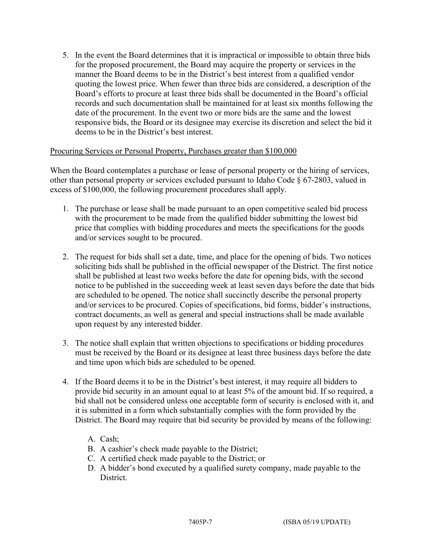5. In the event the Board determines that it is impractical or impossible to obtain three bids for the proposed procurement, the Board may acquire the property or services in the manner the Board deems to be in the District's best interest from a qualified vendor quoting the lowest price. When fewer than three bids are considered, a description of the Board's efforts to procure at least three bids shall be documented in the Board's official records and such documentation shall be maintained for at least six months following the date of the procurement. In the event two or more bids are the same and the lowest responsive bids, the Board or its designee may exercise its discretion and select the bid it deems to be in the District's best interest.

### Procuring Services or Personal Property, Purchases greater than \$100,000

When the Board contemplates a purchase or lease of personal property or the hiring of services, other than personal property or services excluded pursuant to Idaho Code § 67-2803, valued in excess of \$100,000, the following procurement procedures shall apply.

- 1. The purchase or lease shall be made pursuant to an open competitive sealed bid process with the procurement to be made from the qualified bidder submitting the lowest bid price that complies with bidding procedures and meets the specifications for the goods and/or services sought to be procured.
- 2. The request for bids shall set a date, time, and place for the opening of bids. Two notices soliciting bids shall be published in the official newspaper of the District. The first notice shall be published at least two weeks before the date for opening bids, with the second notice to be published in the succeeding week at least seven days before the date that bids are scheduled to be opened. The notice shall succinctly describe the personal property and/or services to be procured. Copies of specifications, bid forms, bidder's instructions, contract documents, as well as general and special instructions shall be made available upon request by any interested bidder.
- 3. The notice shall explain that written objections to specifications or bidding procedures must be received by the Board or its designee at least three business days before the date and time upon which bids are scheduled to be opened.
- 4. If the Board deems it to be in the District's best interest, it may require all bidders to provide bid security in an amount equal to at least 5% of the amount bid. If so required, a bid shall not be considered unless one acceptable form of security is enclosed with it, and it is submitted in a form which substantially complies with the form provided by the District. The Board may require that bid security be provided by means of the following:
	- A. Cash;
	- B. A cashier's check made payable to the District;
	- C. A certified check made payable to the District; or
	- D. A bidder's bond executed by a qualified surety company, made payable to the District.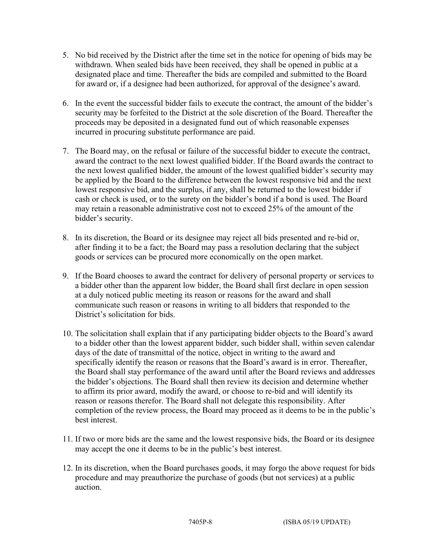- 5. No bid received by the District after the time set in the notice for opening of bids may be withdrawn. When sealed bids have been received, they shall be opened in public at a designated place and time. Thereafter the bids are compiled and submitted to the Board for award or, if a designee had been authorized, for approval of the designee's award.
- 6. In the event the successful bidder fails to execute the contract, the amount of the bidder's security may be forfeited to the District at the sole discretion of the Board. Thereafter the proceeds may be deposited in a designated fund out of which reasonable expenses incurred in procuring substitute performance are paid.
- 7. The Board may, on the refusal or failure of the successful bidder to execute the contract, award the contract to the next lowest qualified bidder. If the Board awards the contract to the next lowest qualified bidder, the amount of the lowest qualified bidder's security may be applied by the Board to the difference between the lowest responsive bid and the next lowest responsive bid, and the surplus, if any, shall be returned to the lowest bidder if cash or check is used, or to the surety on the bidder's bond if a bond is used. The Board may retain a reasonable administrative cost not to exceed 25% of the amount of the bidder's security.
- 8. In its discretion, the Board or its designee may reject all bids presented and re-bid or, after finding it to be a fact; the Board may pass a resolution declaring that the subject goods or services can be procured more economically on the open market.
- 9. If the Board chooses to award the contract for delivery of personal property or services to a bidder other than the apparent low bidder, the Board shall first declare in open session at a duly noticed public meeting its reason or reasons for the award and shall communicate such reason or reasons in writing to all bidders that responded to the District's solicitation for bids.
- 10. The solicitation shall explain that if any participating bidder objects to the Board's award to a bidder other than the lowest apparent bidder, such bidder shall, within seven calendar days of the date of transmittal of the notice, object in writing to the award and specifically identify the reason or reasons that the Board's award is in error. Thereafter, the Board shall stay performance of the award until after the Board reviews and addresses the bidder's objections. The Board shall then review its decision and determine whether to affirm its prior award, modify the award, or choose to re-bid and will identify its reason or reasons therefor. The Board shall not delegate this responsibility. After completion of the review process, the Board may proceed as it deems to be in the public's best interest.
- 11. If two or more bids are the same and the lowest responsive bids, the Board or its designee may accept the one it deems to be in the public's best interest.
- 12. In its discretion, when the Board purchases goods, it may forgo the above request for bids procedure and may preauthorize the purchase of goods (but not services) at a public auction.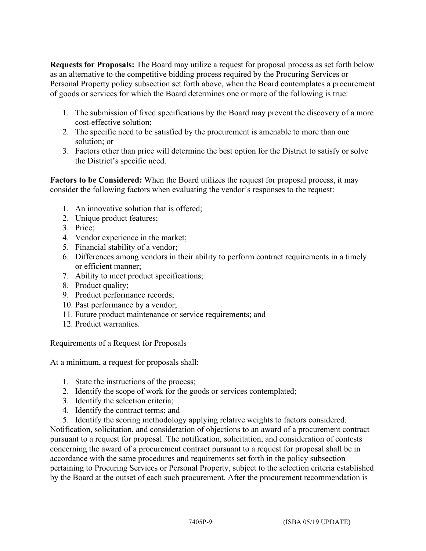**Requests for Proposals:** The Board may utilize a request for proposal process as set forth below as an alternative to the competitive bidding process required by the Procuring Services or Personal Property policy subsection set forth above, when the Board contemplates a procurement of goods or services for which the Board determines one or more of the following is true:

- 1. The submission of fixed specifications by the Board may prevent the discovery of a more cost-effective solution;
- 2. The specific need to be satisfied by the procurement is amenable to more than one solution; or
- 3. Factors other than price will determine the best option for the District to satisfy or solve the District's specific need.

**Factors to be Considered:** When the Board utilizes the request for proposal process, it may consider the following factors when evaluating the vendor's responses to the request:

- 1. An innovative solution that is offered;
- 2. Unique product features;
- 3. Price;
- 4. Vendor experience in the market;
- 5. Financial stability of a vendor;
- 6. Differences among vendors in their ability to perform contract requirements in a timely or efficient manner;
- 7. Ability to meet product specifications;
- 8. Product quality;
- 9. Product performance records;
- 10. Past performance by a vendor;
- 11. Future product maintenance or service requirements; and
- 12. Product warranties.

# Requirements of a Request for Proposals

At a minimum, a request for proposals shall:

- 1. State the instructions of the process;
- 2. Identify the scope of work for the goods or services contemplated;
- 3. Identify the selection criteria;
- 4. Identify the contract terms; and
- 5. Identify the scoring methodology applying relative weights to factors considered.

Notification, solicitation, and consideration of objections to an award of a procurement contract pursuant to a request for proposal. The notification, solicitation, and consideration of contests concerning the award of a procurement contract pursuant to a request for proposal shall be in accordance with the same procedures and requirements set forth in the policy subsection pertaining to Procuring Services or Personal Property, subject to the selection criteria established by the Board at the outset of each such procurement. After the procurement recommendation is